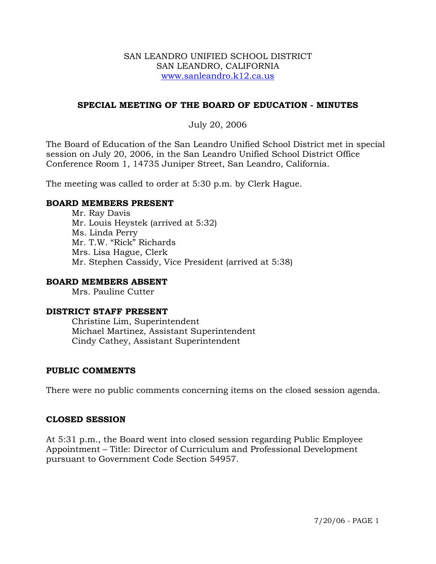#### SAN LEANDRO UNIFIED SCHOOL DISTRICT SAN LEANDRO, CALIFORNIA www.sanleandro.k12.ca.us

## **SPECIAL MEETING OF THE BOARD OF EDUCATION - MINUTES**

### July 20, 2006

The Board of Education of the San Leandro Unified School District met in special session on July 20, 2006, in the San Leandro Unified School District Office Conference Room 1, 14735 Juniper Street, San Leandro, California.

The meeting was called to order at 5:30 p.m. by Clerk Hague.

#### **BOARD MEMBERS PRESENT**

Mr. Ray Davis Mr. Louis Heystek (arrived at 5:32) Ms. Linda Perry Mr. T.W. "Rick" Richards Mrs. Lisa Hague, Clerk Mr. Stephen Cassidy, Vice President (arrived at 5:38)

#### **BOARD MEMBERS ABSENT**

Mrs. Pauline Cutter

#### **DISTRICT STAFF PRESENT**

Christine Lim, Superintendent Michael Martinez, Assistant Superintendent Cindy Cathey, Assistant Superintendent

## **PUBLIC COMMENTS**

There were no public comments concerning items on the closed session agenda.

#### **CLOSED SESSION**

At 5:31 p.m., the Board went into closed session regarding Public Employee Appointment – Title: Director of Curriculum and Professional Development pursuant to Government Code Section 54957.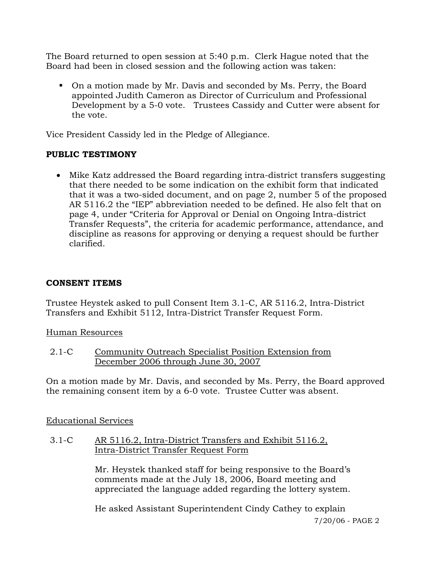The Board returned to open session at 5:40 p.m. Clerk Hague noted that the Board had been in closed session and the following action was taken:

 On a motion made by Mr. Davis and seconded by Ms. Perry, the Board appointed Judith Cameron as Director of Curriculum and Professional Development by a 5-0 vote. Trustees Cassidy and Cutter were absent for the vote.

Vice President Cassidy led in the Pledge of Allegiance.

## **PUBLIC TESTIMONY**

• Mike Katz addressed the Board regarding intra-district transfers suggesting that there needed to be some indication on the exhibit form that indicated that it was a two-sided document, and on page 2, number 5 of the proposed AR 5116.2 the "IEP" abbreviation needed to be defined. He also felt that on page 4, under "Criteria for Approval or Denial on Ongoing Intra-district Transfer Requests", the criteria for academic performance, attendance, and discipline as reasons for approving or denying a request should be further clarified.

# **CONSENT ITEMS**

Trustee Heystek asked to pull Consent Item 3.1-C, AR 5116.2, Intra-District Transfers and Exhibit 5112, Intra-District Transfer Request Form.

Human Resources

2.1-C Community Outreach Specialist Position Extension from December 2006 through June 30, 2007

On a motion made by Mr. Davis, and seconded by Ms. Perry, the Board approved the remaining consent item by a 6-0 vote. Trustee Cutter was absent.

## Educational Services

3.1-C AR 5116.2, Intra-District Transfers and Exhibit 5116.2, Intra-District Transfer Request Form

> Mr. Heystek thanked staff for being responsive to the Board's comments made at the July 18, 2006, Board meeting and appreciated the language added regarding the lottery system.

He asked Assistant Superintendent Cindy Cathey to explain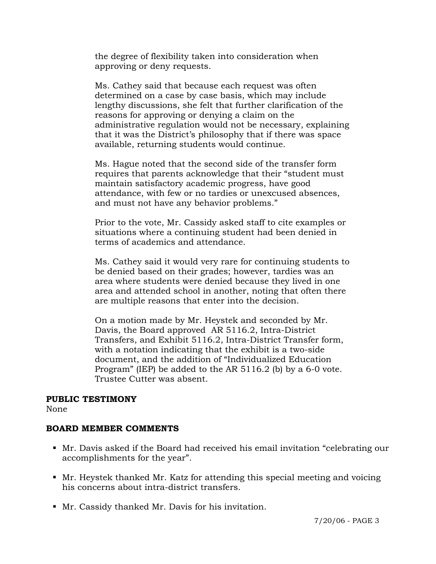the degree of flexibility taken into consideration when approving or deny requests.

Ms. Cathey said that because each request was often determined on a case by case basis, which may include lengthy discussions, she felt that further clarification of the reasons for approving or denying a claim on the administrative regulation would not be necessary, explaining that it was the District's philosophy that if there was space available, returning students would continue.

Ms. Hague noted that the second side of the transfer form requires that parents acknowledge that their "student must maintain satisfactory academic progress, have good attendance, with few or no tardies or unexcused absences, and must not have any behavior problems."

Prior to the vote, Mr. Cassidy asked staff to cite examples or situations where a continuing student had been denied in terms of academics and attendance.

Ms. Cathey said it would very rare for continuing students to be denied based on their grades; however, tardies was an area where students were denied because they lived in one area and attended school in another, noting that often there are multiple reasons that enter into the decision.

On a motion made by Mr. Heystek and seconded by Mr. Davis, the Board approved AR 5116.2, Intra-District Transfers, and Exhibit 5116.2, Intra-District Transfer form, with a notation indicating that the exhibit is a two-side document, and the addition of "Individualized Education Program" (IEP) be added to the AR 5116.2 (b) by a 6-0 vote. Trustee Cutter was absent.

#### **PUBLIC TESTIMONY**

None

## **BOARD MEMBER COMMENTS**

- Mr. Davis asked if the Board had received his email invitation "celebrating our accomplishments for the year".
- Mr. Heystek thanked Mr. Katz for attending this special meeting and voicing his concerns about intra-district transfers.
- Mr. Cassidy thanked Mr. Davis for his invitation.